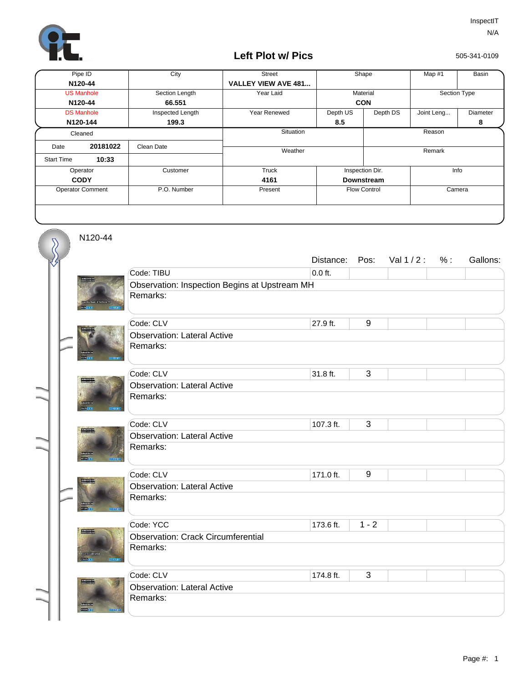

## **Left Plot w/ Pics**

505-341-0109

| Pipe ID                 |          | City             | <b>Street</b>              | Shape             |                         | Map #1       | Basin    |  |
|-------------------------|----------|------------------|----------------------------|-------------------|-------------------------|--------------|----------|--|
|                         | N120-44  |                  | <b>VALLEY VIEW AVE 481</b> |                   |                         |              |          |  |
| <b>US Manhole</b>       |          | Section Length   | Year Laid                  | Material          |                         | Section Type |          |  |
| N120-44                 |          | 66.551           |                            | <b>CON</b>        |                         |              |          |  |
| <b>DS Manhole</b>       |          | Inspected Length | Year Renewed               | Depth US          | Depth DS                | Joint Leng   | Diameter |  |
|                         | N120-144 | 199.3            |                            | 8.5               |                         |              | 8        |  |
| Cleaned                 |          |                  | Situation                  |                   |                         | Reason       |          |  |
| Date                    | 20181022 | Clean Date       | Weather                    |                   | Remark                  |              |          |  |
| <b>Start Time</b>       | 10:33    |                  |                            |                   |                         |              |          |  |
| Operator                |          | Customer         | Truck                      |                   | Info<br>Inspection Dir. |              |          |  |
| <b>CODY</b>             |          |                  | 4161                       | <b>Downstream</b> |                         |              |          |  |
| <b>Operator Comment</b> |          | P.O. Number      | Present                    |                   | <b>Flow Control</b>     | Camera       |          |  |
|                         |          |                  |                            |                   |                         |              |          |  |

N120-44

 $\overline{\mathcal{S}}$ 

|  |                 |                                               | Distance: | Pos:    | Val $1/2$ : | % : | Gallons: |  |  |
|--|-----------------|-----------------------------------------------|-----------|---------|-------------|-----|----------|--|--|
|  |                 | Code: TIBU                                    | $0.0$ ft. |         |             |     |          |  |  |
|  |                 | Observation: Inspection Begins at Upstream MH |           |         |             |     |          |  |  |
|  |                 | Remarks:                                      |           |         |             |     |          |  |  |
|  |                 |                                               |           |         |             |     |          |  |  |
|  |                 | Code: CLV                                     | 27.9 ft.  | 9       |             |     |          |  |  |
|  |                 | <b>Observation: Lateral Active</b>            |           |         |             |     |          |  |  |
|  |                 | Remarks:                                      |           |         |             |     |          |  |  |
|  |                 | Code: CLV                                     | 31.8 ft.  | 3       |             |     |          |  |  |
|  |                 | <b>Observation: Lateral Active</b>            |           |         |             |     |          |  |  |
|  |                 | Remarks:                                      |           |         |             |     |          |  |  |
|  | <b>STEWATER</b> |                                               |           |         |             |     |          |  |  |
|  |                 | Code: CLV                                     | 107.3 ft. | 3       |             |     |          |  |  |
|  | teram,          | <b>Observation: Lateral Active</b>            |           |         |             |     |          |  |  |
|  |                 | Remarks:                                      |           |         |             |     |          |  |  |
|  |                 |                                               |           |         |             |     |          |  |  |
|  |                 | Code: CLV                                     | 171.0 ft. | $9\,$   |             |     |          |  |  |
|  |                 | <b>Observation: Lateral Active</b>            |           |         |             |     |          |  |  |
|  |                 | Remarks:                                      |           |         |             |     |          |  |  |
|  | permit.         |                                               |           |         |             |     |          |  |  |
|  |                 | Code: YCC                                     | 173.6 ft. | $1 - 2$ |             |     |          |  |  |
|  |                 | <b>Observation: Crack Circumferential</b>     |           |         |             |     |          |  |  |
|  |                 | Remarks:                                      |           |         |             |     |          |  |  |
|  |                 |                                               |           |         |             |     |          |  |  |
|  |                 | Code: CLV                                     | 174.8 ft. | 3       |             |     |          |  |  |
|  |                 | <b>Observation: Lateral Active</b>            |           |         |             |     |          |  |  |
|  |                 | Remarks:                                      |           |         |             |     |          |  |  |
|  | <b>STORY</b>    |                                               |           |         |             |     |          |  |  |
|  |                 |                                               |           |         |             |     |          |  |  |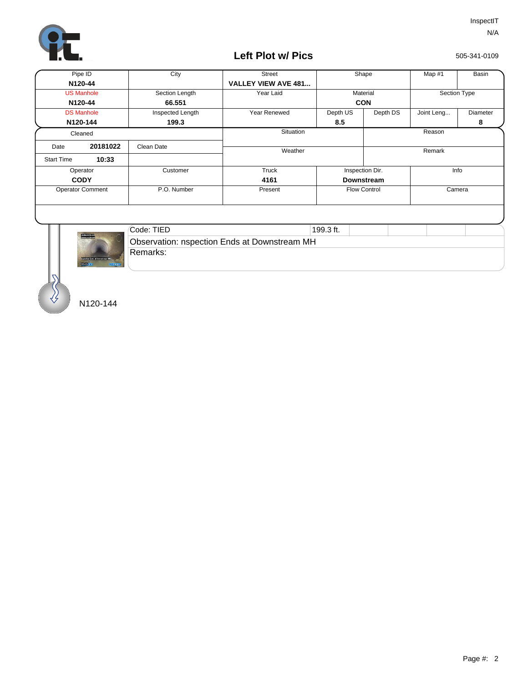

## **Left Plot w/ Pics**

505-341-0109

|                            | Pipe ID           | City                  | <b>Street</b>              | Shape               |                   | Map #1       | Basin    |  |
|----------------------------|-------------------|-----------------------|----------------------------|---------------------|-------------------|--------------|----------|--|
|                            | N120-44           |                       | <b>VALLEY VIEW AVE 481</b> |                     |                   |              |          |  |
| <b>US Manhole</b>          |                   | Section Length        | Year Laid                  | Material            |                   | Section Type |          |  |
| N120-44                    |                   | 66.551                |                            | <b>CON</b>          |                   |              |          |  |
|                            | <b>DS Manhole</b> | Inspected Length      | Year Renewed               | Depth US            | Depth DS          | Joint Leng   | Diameter |  |
|                            | N120-144          | 199.3                 |                            | 8.5                 |                   |              | 8        |  |
| Cleaned                    |                   |                       | Situation                  |                     |                   | Reason       |          |  |
| Date                       | 20181022          | Clean Date            | Weather                    |                     |                   | Remark       |          |  |
| 10:33<br><b>Start Time</b> |                   |                       |                            |                     |                   |              |          |  |
| Operator                   |                   | Customer              | Truck                      |                     | Inspection Dir.   | Info         |          |  |
| <b>CODY</b>                |                   |                       | 4161                       |                     | <b>Downstream</b> |              |          |  |
| <b>Operator Comment</b>    |                   | P.O. Number           | Present                    | <b>Flow Control</b> |                   | Camera       |          |  |
|                            |                   |                       |                            |                     |                   |              |          |  |
|                            |                   | $C_{\Omega}$ do: TIED |                            | $100.2$ ft          |                   |              |          |  |



| Code: TIED                                          | 199.3 ft. |  |  |  |  |  |  |
|-----------------------------------------------------|-----------|--|--|--|--|--|--|
| <b>Observation: nspection Ends at Downstream MH</b> |           |  |  |  |  |  |  |
| <b>Remarks:</b>                                     |           |  |  |  |  |  |  |

N120-144